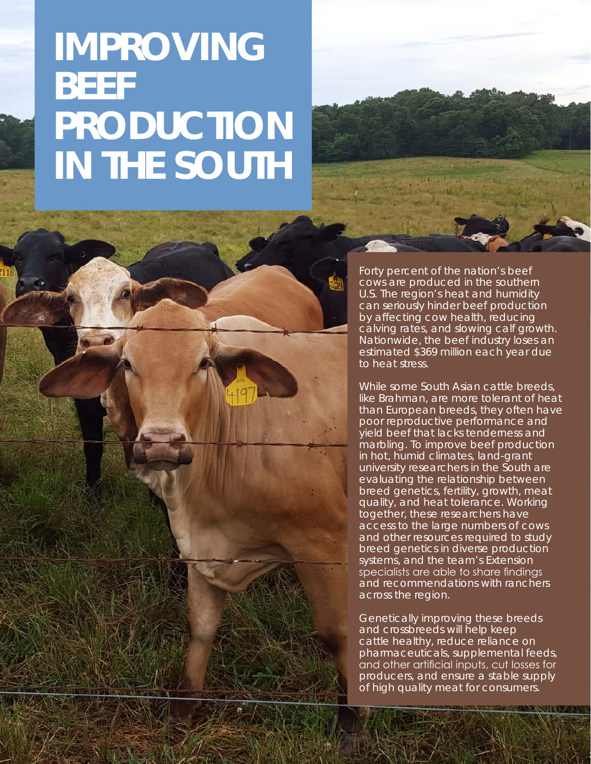## **IMPROVING BEEF PRODUCTION IN THE SOUTH**



Forty percent of the nation's beef cows are produced in the southern U.S. The region's heat and humidity can seriously hinder beef production by affecting cow health, reducing calving rates, and slowing calf growth. Nationwide, the beef industry loses an estimated \$369 million each year due to heat stress.

While some South Asian cattle breeds, like Brahman, are more tolerant of heat than European breeds, they often have poor reproductive performance and yield beef that lacks tenderness and marbling. To improve beef production in hot, humid climates, land-grant university researchers in the South are evaluating the relationship between breed genetics, fertility, growth, meat quality, and heat tolerance. Working together, these researchers have access to the large numbers of cows and other resources required to study breed genetics in diverse production systems, and the team's Extension specialists are able to share findings and recommendations with ranchers across the region.

Genetically improving these breeds and crossbreeds will help keep cattle healthy, reduce reliance on pharmaceuticals, supplemental feeds, and other artificial inputs, cut losses for producers, and ensure a stable supply of high quality meat for consumers.